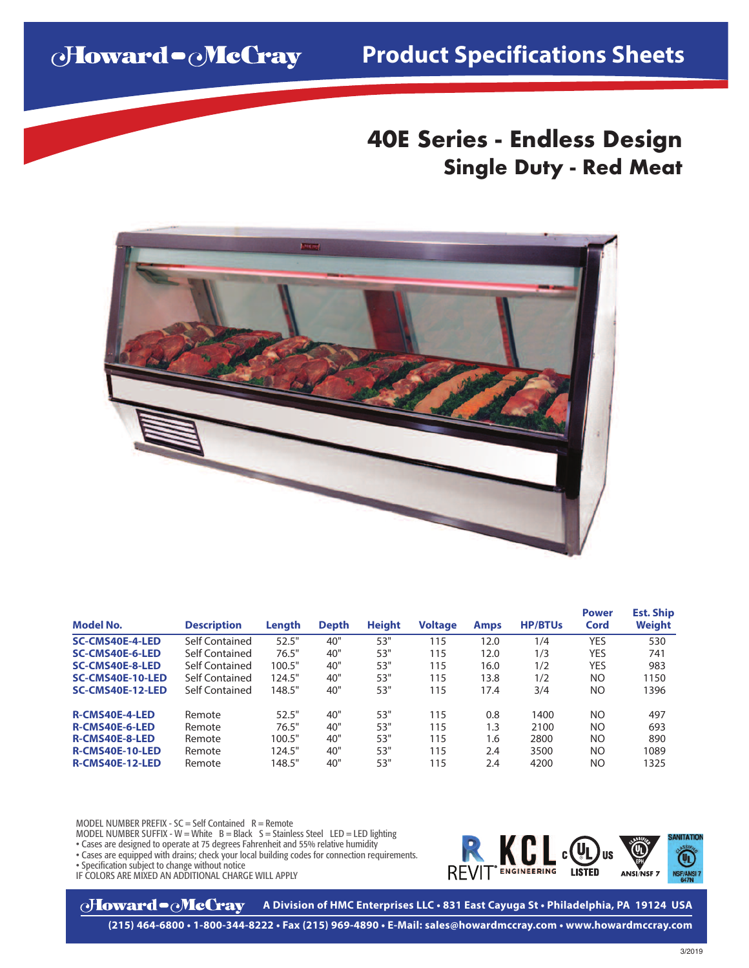Howard - McGray

## **Product Specifications Sheets**

## **40E Series - Endless Design Single Duty - Red Meat**



| <b>Model No.</b>       | <b>Description</b> | Length | <b>Depth</b> | <b>Height</b> | <b>Voltage</b> | <b>Amps</b> | <b>HP/BTUs</b> | <b>Power</b><br>Cord | <b>Est. Ship</b><br>Weight |
|------------------------|--------------------|--------|--------------|---------------|----------------|-------------|----------------|----------------------|----------------------------|
| <b>SC-CMS40E-4-LED</b> | Self Contained     | 52.5"  | 40"          | 53"           | 115            | 12.0        | 1/4            | YES                  | 530                        |
| SC-CMS40E-6-LED        | Self Contained     | 76.5"  | 40"          | 53"           | 115            | 12.0        | 1/3            | YES                  | 741                        |
| <b>SC-CMS40E-8-LED</b> | Self Contained     | 100.5" | 40"          | 53"           | 115            | 16.0        | 1/2            | YES                  | 983                        |
| SC-CMS40E-10-LED       | Self Contained     | 124.5" | 40"          | 53"           | 115            | 13.8        | 1/2            | NO.                  | 1150                       |
| SC-CMS40E-12-LED       | Self Contained     | 148.5" | 40"          | 53"           | 115            | 17.4        | 3/4            | NO.                  | 1396                       |
| <b>R-CMS40E-4-LED</b>  | Remote             | 52.5"  | 40"          | 53"           | 115            | 0.8         | 1400           | NO.                  | 497                        |
| R-CMS40E-6-LED         | Remote             | 76.5"  | 40"          | 53"           | 115            | 1.3         | 2100           | NO.                  | 693                        |
| <b>R-CMS40E-8-LED</b>  | Remote             | 100.5" | 40"          | 53"           | 115            | 1.6         | 2800           | NO.                  | 890                        |
| R-CMS40E-10-LED        | Remote             | 124.5" | 40"          | 53"           | 115            | 2.4         | 3500           | NO.                  | 1089                       |
| R-CMS40E-12-LED        | Remote             | 148.5" | 40"          | 53"           | 115            | 2.4         | 4200           | NO                   | 1325                       |

MODEL NUMBER PREFIX -  $SC = Self$  Contained  $R =$  Remote

MODEL NUMBER SUFFIX - W = White  $B = Black$  S = Stainless Steel LED = LED lighting

• Cases are designed to operate at 75 degrees Fahrenheit and 55% relative humidity

• Cases are equipped with drains; check your local building codes for connection requirements.

• Specification subject to change without notice

IF COLORS ARE MIXED AN ADDITIONAL CHARGE WILL APPLY



**oHoward•oMcCray A Division of HMC Enterprises LLC • 831 East Cayuga St • Philadelphia, PA 19124 USA**

**(215) 464-6800 • 1-800-344-8222 • Fax (215) 969-4890 • E-Mail: sales@howardmccray.com • www.howardmccray.com**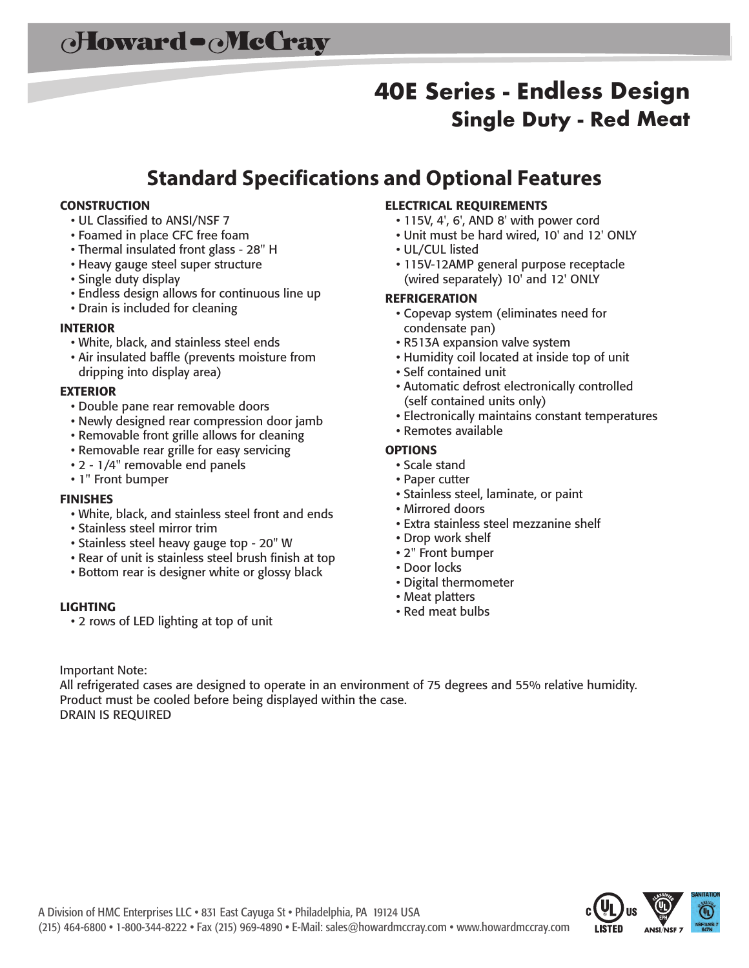# **40E Series - Endless Design Single Duty - Red Meat**

## **Standard Specifications and Optional Features**

#### **CONSTRUCTION**

- UL Classified to ANSI/NSF 7
- Foamed in place CFC free foam
- Thermal insulated front glass 28" H
- Heavy gauge steel super structure
- Single duty display
- Endless design allows for continuous line up
- Drain is included for cleaning

#### **INTERIOR**

- White, black, and stainless steel ends
- Air insulated baffle (prevents moisture from dripping into display area)

#### **EXTERIOR**

- Double pane rear removable doors
- Newly designed rear compression door jamb
- Removable front grille allows for cleaning
- Removable rear grille for easy servicing
- 2 1/4" removable end panels
- 1" Front bumper

#### **FINISHES**

- White, black, and stainless steel front and ends
- Stainless steel mirror trim
- Stainless steel heavy gauge top 20" W
- Rear of unit is stainless steel brush finish at top
- Bottom rear is designer white or glossy black

#### **LIGHTING**

• 2 rows of LED lighting at top of unit

#### **ELECTRICAL REQUIREMENTS**

- 115V, 4', 6', AND 8' with power cord
- Unit must be hard wired, 10' and 12' ONLY
- UL/CUL listed
- 115V-12AMP general purpose receptacle (wired separately) 10' and 12' ONLY

#### **REFRIGERATION**

- Copevap system (eliminates need for condensate pan)
- R513A expansion valve system
- Humidity coil located at inside top of unit
- Self contained unit
- Automatic defrost electronically controlled (self contained units only)
- Electronically maintains constant temperatures
- Remotes available

#### **OPTIONS**

- Scale stand
- Paper cutter
- Stainless steel, laminate, or paint
- Mirrored doors
- Extra stainless steel mezzanine shelf
- Drop work shelf
- 2" Front bumper
- Door locks
- Digital thermometer
- Meat platters
- Red meat bulbs

Important Note:

All refrigerated cases are designed to operate in an environment of 75 degrees and 55% relative humidity. Product must be cooled before being displayed within the case. DRAIN IS REQUIRED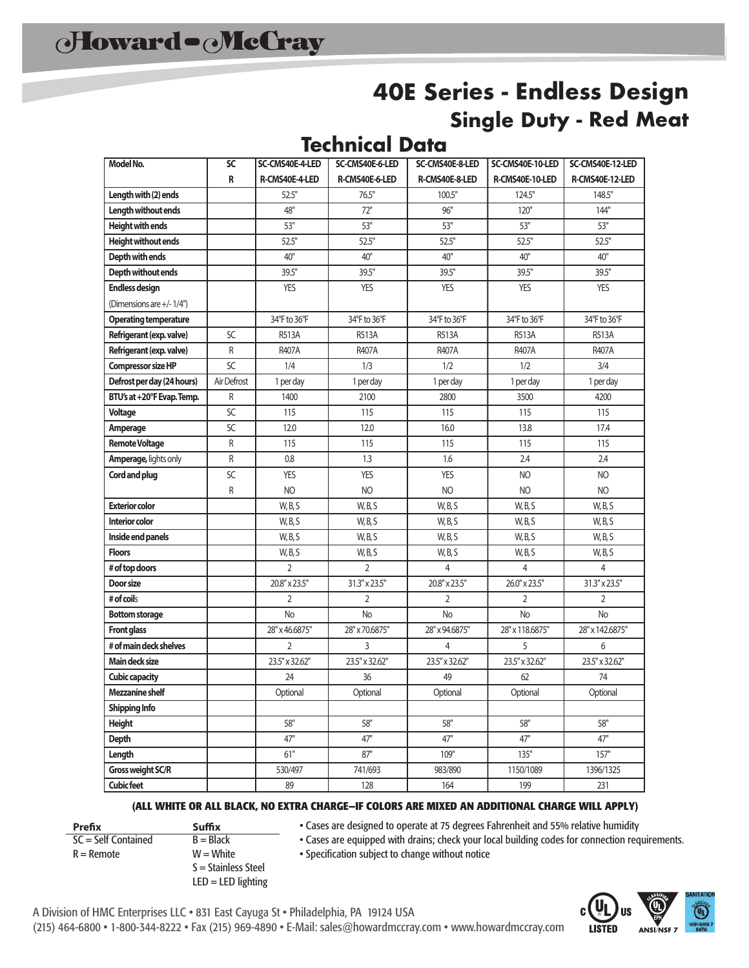## **40E Series - Endless Design Single Duty - Red Meat**

### **Technical Data**

| <b>Model No.</b>             | $\overline{SC}$ | SC-CMS40E-4-LED | SC-CMS40E-6-LED | SC-CMS40E-8-LED | SC-CMS40E-10-LED | SC-CMS40E-12-LED |  |
|------------------------------|-----------------|-----------------|-----------------|-----------------|------------------|------------------|--|
|                              | R               | R-CMS40E-4-LED  | R-CMS40E-6-LED  | R-CMS40E-8-LED  | R-CMS40E-10-LED  | R-CMS40E-12-LED  |  |
| Length with (2) ends         |                 | 52.5"           | 76.5"           | 100.5"          | 124.5"           | 148.5"           |  |
| Length without ends          |                 | 48"             | 72"             | 96"             | 120"             | 144"             |  |
| Height with ends             |                 | 53"             | 53"             | 53"             | 53"              | 53"              |  |
| <b>Height without ends</b>   |                 | 52.5"           | 52.5"           | 52.5"           | 52.5"            | 52.5"            |  |
| Depth with ends              |                 | 40"             | 40"             | 40"             | 40"              | 40"              |  |
| Depth without ends           |                 | 39.5"           | 39.5"           | 39.5"           | 39.5"            | 39.5"            |  |
| <b>Endless design</b>        |                 | <b>YES</b>      | <b>YES</b>      | <b>YES</b>      | <b>YES</b>       | <b>YES</b>       |  |
| (Dimensions are +/-1/4")     |                 |                 |                 |                 |                  |                  |  |
| <b>Operating temperature</b> |                 | 34°F to 36°F    | 34°F to 36°F    | 34°F to 36°F    | 34°F to 36°F     | 34°F to 36°F     |  |
| Refrigerant (exp. valve)     | SC              | <b>R513A</b>    | <b>R513A</b>    | <b>R513A</b>    | <b>R513A</b>     | <b>R513A</b>     |  |
| Refrigerant (exp. valve)     | R               | <b>R407A</b>    | <b>R407A</b>    | <b>R407A</b>    | <b>R407A</b>     | <b>R407A</b>     |  |
| Compressor size HP           | SC              | 1/4             | 1/3             | 1/2             | 1/2              | 3/4              |  |
| Defrost per day (24 hours)   | Air Defrost     | 1 per day       | 1 per day       | 1 per day       | 1 per day        | 1 per day        |  |
| BTU's at +20°F Evap. Temp.   | R               | 1400            | 2100            | 2800            | 3500             | 4200             |  |
| <b>Voltage</b>               | SC              | 115             | 115             | 115             | 115              | 115              |  |
| Amperage                     | SC              | 12.0            | 12.0            | 16.0            | 13.8             | 17.4             |  |
| <b>Remote Voltage</b>        | R               | 115             | 115             | 115             | 115              | 115              |  |
| Amperage, lights only        | R               | 0.8             | 1.3             | 1.6             | 2.4              | 2.4              |  |
| Cord and plug                | SC              | <b>YES</b>      | <b>YES</b>      | <b>YES</b>      | NO               | NO               |  |
|                              | R               | NO              | N <sub>O</sub>  | NO              | N <sub>O</sub>   | NO               |  |
| <b>Exterior color</b>        |                 | W, B, S         | W, B, S         | W, B, S         | W, B, S          | W, B, S          |  |
| Interior color               |                 | W, B, S         | W, B, S         | W, B, S         | W, B, S          | W, B, S          |  |
| Inside end panels            |                 | W, B, S         | W, B, S         | W, B, S         | W, B, S          | W, B, S          |  |
| <b>Floors</b>                |                 | W, B, S         | W, B, S         | W, B, S         | W, B, S          | W, B, S          |  |
| # of top doors               |                 | $\overline{2}$  | $\overline{2}$  | 4               | 4                | $\overline{4}$   |  |
| Door size                    |                 | 20.8" x 23.5"   | 31.3" x 23.5"   | 20.8" x 23.5"   | 26.0" x 23.5"    | 31.3" x 23.5"    |  |
| # of coils                   |                 | $\overline{2}$  | $\overline{2}$  | 2               | $\overline{2}$   | $\overline{2}$   |  |
| <b>Bottom storage</b>        |                 | <b>No</b>       | No              | <b>No</b>       | <b>No</b>        | <b>No</b>        |  |
| <b>Front glass</b>           |                 | 28" x 46.6875"  | 28" x 70.6875"  | 28" x 94.6875"  | 28" x 118.6875"  | 28" x 142.6875"  |  |
| # of main deck shelves       |                 | 2               | 3               | 4               | 5                | 6                |  |
| Main deck size               |                 | 23.5" x 32.62"  | 23.5" x 32.62"  | 23.5" x 32.62"  | 23.5" x 32.62"   | 23.5" x 32.62"   |  |
| <b>Cubic capacity</b>        |                 | 24              | 36              | 49              | 62               | 74               |  |
| <b>Mezzanine shelf</b>       |                 | Optional        | Optional        | Optional        | Optional         | Optional         |  |
| <b>Shipping Info</b>         |                 |                 |                 |                 |                  |                  |  |
| Height                       |                 | 58"             | 58"             | 58"             | 58"              | 58"              |  |
| <b>Depth</b>                 |                 | 47"             | 47"             | 47"             | 47"              | 47"              |  |
| Length                       |                 | 61"             | 87"             | 109"            | 135"             | 157"             |  |
| Gross weight SC/R            |                 | 530/497         | 741/693         | 983/890         | 1150/1089        | 1396/1325        |  |
| <b>Cubic feet</b>            |                 | 89              | 128             | 164             | 199              | 231              |  |

#### **(ALL WHITE OR ALL BLACK, NO EXTRA CHARGE—IF COLORS ARE MIXED AN ADDITIONAL CHARGE WILL APPLY)**

• Cases are designed to operate at 75 degrees Fahrenheit and 55% relative humidity

- 
- $SC = Self$  Contained
- **Prefix Suffix**<br>  $SC = Self$  **Contained**  $B = Black$  $R =$  Remote  $W =$  W  $=$  White S = Stainless Steel
- Cases are equipped with drains; check your local building codes for connection requirements.
- LED = LED lighting
- Specification subject to change without notice